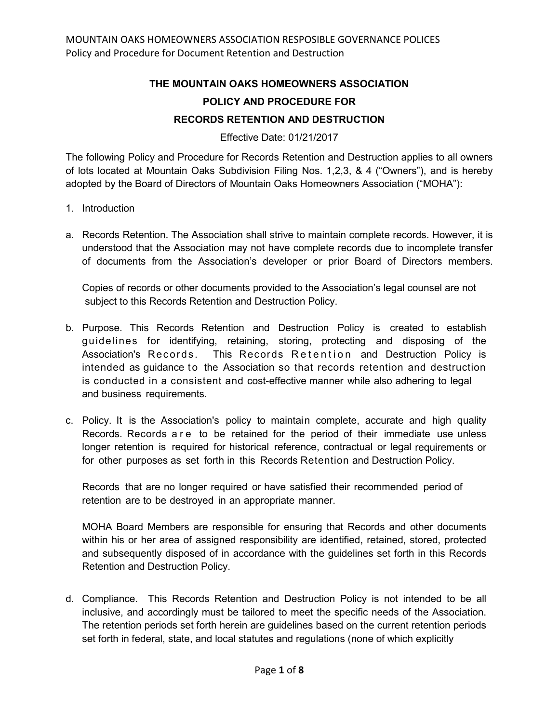## **THE MOUNTAIN OAKS HOMEOWNERS ASSOCIATION POLICY AND PROCEDURE FOR RECORDS RETENTION AND DESTRUCTION**

Effective Date: 01/21/2017

The following Policy and Procedure for Records Retention and Destruction applies to all owners of lots located at Mountain Oaks Subdivision Filing Nos. 1,2,3, & 4 ("Owners"), and is hereby adopted by the Board of Directors of Mountain Oaks Homeowners Association ("MOHA"):

- 1. Introduction
- a. Records Retention. The Association shall strive to maintain complete records. However, it is understood that the Association may not have complete records due to incomplete transfer of documents from the Association's developer or prior Board of Directors members.

Copies of records or other documents provided to the Association's legal counsel are not subject to this Records Retention and Destruction Policy.

- b. Purpose. This Records Retention and Destruction Policy is created to establish guidelines for identifying, retaining, storing, protecting and disposing of the Association's Records. This Records Retention and Destruction Policy is intended as guidance to the Association so that records retention and destruction is conducted in a consistent and cost-effective manner while also adhering to legal and business requirements.
- c. Policy. It is the Association's policy to maintain complete, accurate and high quality Records. Records are to be retained for the period of their immediate use unless longer retention is required for historical reference, contractual or legal requirements or for other purposes as set forth in this Records Retention and Destruction Policy.

Records that are no longer required or have satisfied their recommended period of retention are to be destroyed in an appropriate manner.

MOHA Board Members are responsible for ensuring that Records and other documents within his or her area of assigned responsibility are identified, retained, stored, protected and subsequently disposed of in accordance with the guidelines set forth in this Records Retention and Destruction Policy.

d. Compliance. This Records Retention and Destruction Policy is not intended to be all inclusive, and accordingly must be tailored to meet the specific needs of the Association. The retention periods set forth herein are guidelines based on the current retention periods set forth in federal, state, and local statutes and regulations (none of which explicitly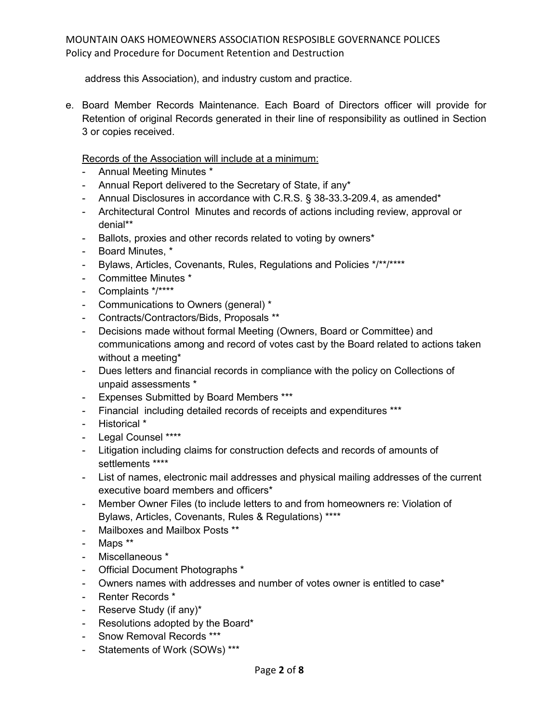address this Association), and industry custom and practice.

e. Board Member Records Maintenance. Each Board of Directors officer will provide for Retention of original Records generated in their line of responsibility as outlined in Section 3 or copies received.

Records of the Association will include at a minimum:

- Annual Meeting Minutes \*
- Annual Report delivered to the Secretary of State, if any\*
- Annual Disclosures in accordance with C.R.S. § 38-33.3-209.4, as amended\*
- Architectural Control Minutes and records of actions including review, approval or denial\*\*
- Ballots, proxies and other records related to voting by owners\*
- Board Minutes, \*
- Bylaws, Articles, Covenants, Rules, Regulations and Policies \*/\*\*/\*\*\*\*
- Committee Minutes \*
- Complaints \*/\*\*\*\*
- Communications to Owners (general) \*
- Contracts/Contractors/Bids, Proposals \*\*
- Decisions made without formal Meeting (Owners, Board or Committee) and communications among and record of votes cast by the Board related to actions taken without a meeting\*
- Dues letters and financial records in compliance with the policy on Collections of unpaid assessments \*
- Expenses Submitted by Board Members \*\*\*
- Financial including detailed records of receipts and expenditures \*\*\*
- Historical \*
- Legal Counsel \*\*\*\*
- Litigation including claims for construction defects and records of amounts of settlements \*\*\*\*
- List of names, electronic mail addresses and physical mailing addresses of the current executive board members and officers\*
- Member Owner Files (to include letters to and from homeowners re: Violation of Bylaws, Articles, Covenants, Rules & Regulations) \*\*\*\*
- Mailboxes and Mailbox Posts \*\*
- Maps \*\*
- Miscellaneous \*
- Official Document Photographs \*
- Owners names with addresses and number of votes owner is entitled to case\*
- Renter Records \*
- Reserve Study (if any)\*
- Resolutions adopted by the Board\*
- Snow Removal Records \*\*\*
- Statements of Work (SOWs) \*\*\*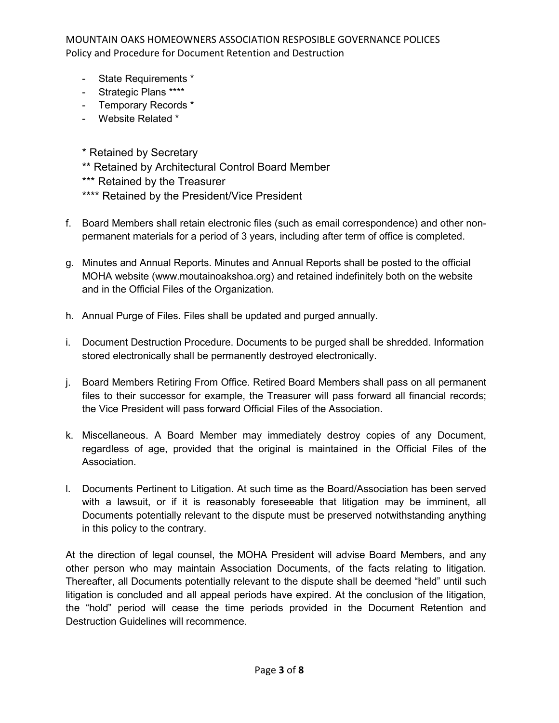- State Requirements \*
- Strategic Plans \*\*\*\*
- Temporary Records \*
- Website Related \*
- \* Retained by Secretary
- \*\* Retained by Architectural Control Board Member
- \*\*\* Retained by the Treasurer
- \*\*\*\* Retained by the President/Vice President
- f. Board Members shall retain electronic files (such as email correspondence) and other nonpermanent materials for a period of 3 years, including after term of office is completed.
- g. Minutes and Annual Reports. Minutes and Annual Reports shall be posted to the official MOHA website (www.moutainoakshoa.org) and retained indefinitely both on the website and in the Official Files of the Organization.
- h. Annual Purge of Files. Files shall be updated and purged annually.
- i. Document Destruction Procedure. Documents to be purged shall be shredded. Information stored electronically shall be permanently destroyed electronically.
- j. Board Members Retiring From Office. Retired Board Members shall pass on all permanent files to their successor for example, the Treasurer will pass forward all financial records; the Vice President will pass forward Official Files of the Association.
- k. Miscellaneous. A Board Member may immediately destroy copies of any Document, regardless of age, provided that the original is maintained in the Official Files of the Association.
- l. Documents Pertinent to Litigation. At such time as the Board/Association has been served with a lawsuit, or if it is reasonably foreseeable that litigation may be imminent, all Documents potentially relevant to the dispute must be preserved notwithstanding anything in this policy to the contrary.

At the direction of legal counsel, the MOHA President will advise Board Members, and any other person who may maintain Association Documents, of the facts relating to litigation. Thereafter, all Documents potentially relevant to the dispute shall be deemed "held" until such litigation is concluded and all appeal periods have expired. At the conclusion of the litigation, the "hold" period will cease the time periods provided in the Document Retention and Destruction Guidelines will recommence.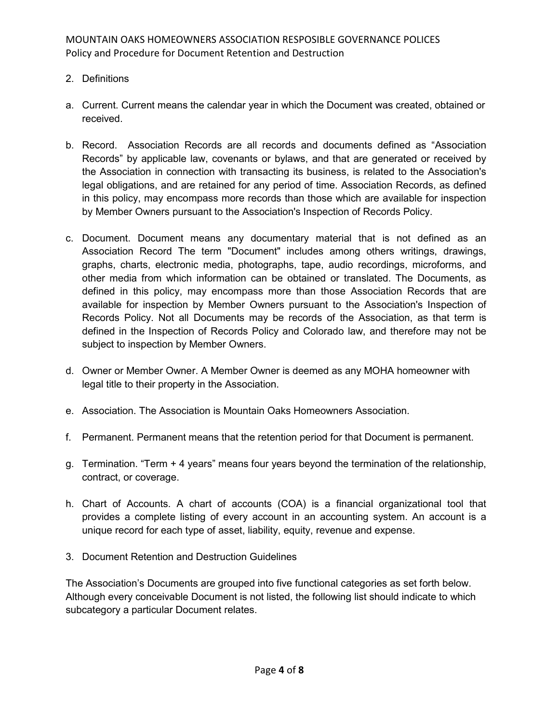- 2. Definitions
- a. Current. Current means the calendar year in which the Document was created, obtained or received.
- b. Record. Association Records are all records and documents defined as "Association Records" by applicable law, covenants or bylaws, and that are generated or received by the Association in connection with transacting its business, is related to the Association's legal obligations, and are retained for any period of time. Association Records, as defined in this policy, may encompass more records than those which are available for inspection by Member Owners pursuant to the Association's Inspection of Records Policy.
- c. Document. Document means any documentary material that is not defined as an Association Record The term "Document" includes among others writings, drawings, graphs, charts, electronic media, photographs, tape, audio recordings, microforms, and other media from which information can be obtained or translated. The Documents, as defined in this policy, may encompass more than those Association Records that are available for inspection by Member Owners pursuant to the Association's Inspection of Records Policy. Not all Documents may be records of the Association, as that term is defined in the Inspection of Records Policy and Colorado law, and therefore may not be subject to inspection by Member Owners.
- d. Owner or Member Owner. A Member Owner is deemed as any MOHA homeowner with legal title to their property in the Association.
- e. Association. The Association is Mountain Oaks Homeowners Association.
- f. Permanent. Permanent means that the retention period for that Document is permanent.
- g. Termination. "Term + 4 years" means four years beyond the termination of the relationship, contract, or coverage.
- h. Chart of Accounts. A chart of accounts (COA) is a financial organizational tool that provides a complete listing of every account in an accounting system. An account is a unique record for each type of asset, liability, equity, revenue and expense.
- 3. Document Retention and Destruction Guidelines

The Association's Documents are grouped into five functional categories as set forth below. Although every conceivable Document is not listed, the following list should indicate to which subcategory a particular Document relates.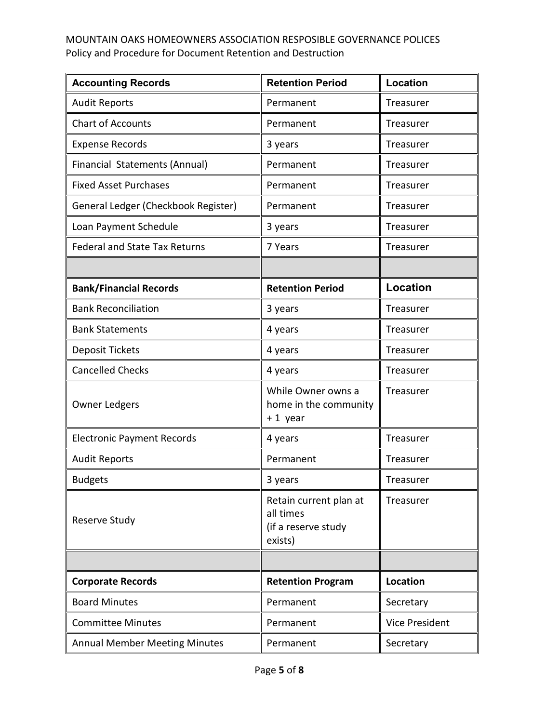| <b>Accounting Records</b>            | <b>Retention Period</b>                                               | Location              |
|--------------------------------------|-----------------------------------------------------------------------|-----------------------|
| <b>Audit Reports</b>                 | Permanent                                                             | Treasurer             |
| <b>Chart of Accounts</b>             | Permanent                                                             | Treasurer             |
| <b>Expense Records</b>               | 3 years                                                               | Treasurer             |
| Financial Statements (Annual)        | Permanent                                                             | Treasurer             |
| <b>Fixed Asset Purchases</b>         | Permanent                                                             | Treasurer             |
| General Ledger (Checkbook Register)  | Permanent                                                             | Treasurer             |
| Loan Payment Schedule                | 3 years                                                               | Treasurer             |
| <b>Federal and State Tax Returns</b> | 7 Years                                                               | Treasurer             |
|                                      |                                                                       |                       |
| <b>Bank/Financial Records</b>        | <b>Retention Period</b>                                               | <b>Location</b>       |
| <b>Bank Reconciliation</b>           | 3 years                                                               | Treasurer             |
| <b>Bank Statements</b>               | 4 years                                                               | Treasurer             |
| <b>Deposit Tickets</b>               | 4 years                                                               | Treasurer             |
| <b>Cancelled Checks</b>              | 4 years                                                               | Treasurer             |
| <b>Owner Ledgers</b>                 | While Owner owns a<br>home in the community<br>+1 year                | Treasurer             |
| <b>Electronic Payment Records</b>    | 4 years                                                               | Treasurer             |
| <b>Audit Reports</b>                 | Permanent                                                             | Treasurer             |
| <b>Budgets</b>                       | 3 years                                                               | Treasurer             |
| Reserve Study                        | Retain current plan at<br>all times<br>(if a reserve study<br>exists) | Treasurer             |
|                                      |                                                                       |                       |
| <b>Corporate Records</b>             | <b>Retention Program</b>                                              | Location              |
| <b>Board Minutes</b>                 | Permanent                                                             | Secretary             |
| <b>Committee Minutes</b>             | Permanent                                                             | <b>Vice President</b> |
| <b>Annual Member Meeting Minutes</b> | Permanent                                                             | Secretary             |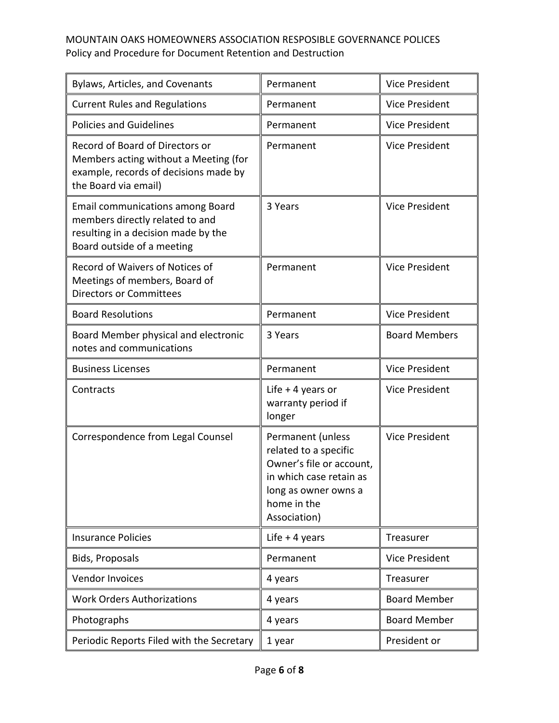| Bylaws, Articles, and Covenants                                                                                                           | Permanent                                                                                                                                                | <b>Vice President</b> |
|-------------------------------------------------------------------------------------------------------------------------------------------|----------------------------------------------------------------------------------------------------------------------------------------------------------|-----------------------|
| <b>Current Rules and Regulations</b>                                                                                                      | Permanent                                                                                                                                                | <b>Vice President</b> |
| <b>Policies and Guidelines</b>                                                                                                            | Permanent                                                                                                                                                | <b>Vice President</b> |
| Record of Board of Directors or<br>Members acting without a Meeting (for<br>example, records of decisions made by<br>the Board via email) | Permanent                                                                                                                                                | <b>Vice President</b> |
| Email communications among Board<br>members directly related to and<br>resulting in a decision made by the<br>Board outside of a meeting  | 3 Years                                                                                                                                                  | <b>Vice President</b> |
| Record of Waivers of Notices of<br>Meetings of members, Board of<br><b>Directors or Committees</b>                                        | Permanent                                                                                                                                                | <b>Vice President</b> |
| <b>Board Resolutions</b>                                                                                                                  | Permanent                                                                                                                                                | <b>Vice President</b> |
| Board Member physical and electronic<br>notes and communications                                                                          | 3 Years                                                                                                                                                  | <b>Board Members</b>  |
| <b>Business Licenses</b>                                                                                                                  | Permanent                                                                                                                                                | <b>Vice President</b> |
| Contracts                                                                                                                                 | Life $+$ 4 years or<br>warranty period if<br>longer                                                                                                      | <b>Vice President</b> |
| Correspondence from Legal Counsel                                                                                                         | Permanent (unless<br>related to a specific<br>Owner's file or account,<br>in which case retain as<br>long as owner owns a<br>home in the<br>Association) | <b>Vice President</b> |
| <b>Insurance Policies</b>                                                                                                                 | Life $+4$ years                                                                                                                                          | Treasurer             |
| <b>Bids, Proposals</b>                                                                                                                    | Permanent                                                                                                                                                | <b>Vice President</b> |
| Vendor Invoices                                                                                                                           | 4 years                                                                                                                                                  | Treasurer             |
| <b>Work Orders Authorizations</b>                                                                                                         | 4 years                                                                                                                                                  | <b>Board Member</b>   |
| Photographs                                                                                                                               | 4 years                                                                                                                                                  | <b>Board Member</b>   |
| Periodic Reports Filed with the Secretary                                                                                                 |                                                                                                                                                          |                       |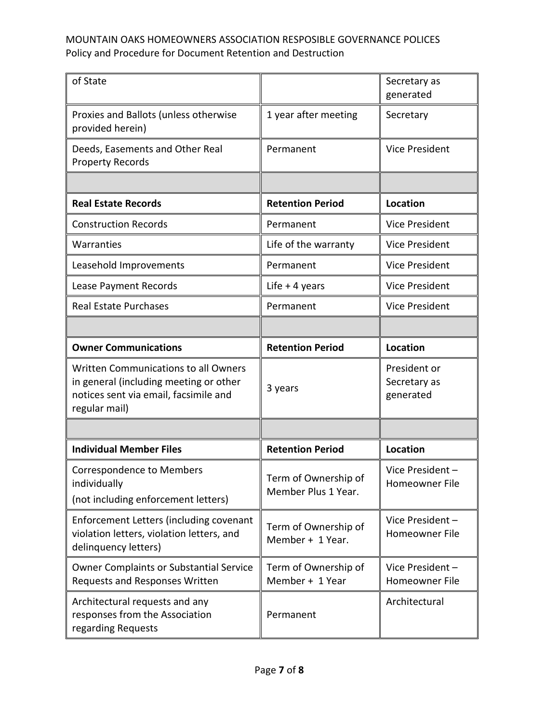| of State                                                                                                                                 |                                             | Secretary as<br>generated                 |
|------------------------------------------------------------------------------------------------------------------------------------------|---------------------------------------------|-------------------------------------------|
| Proxies and Ballots (unless otherwise<br>provided herein)                                                                                | 1 year after meeting                        | Secretary                                 |
| Deeds, Easements and Other Real<br><b>Property Records</b>                                                                               | Permanent                                   | <b>Vice President</b>                     |
|                                                                                                                                          |                                             |                                           |
| <b>Real Estate Records</b>                                                                                                               | <b>Retention Period</b>                     | <b>Location</b>                           |
| <b>Construction Records</b>                                                                                                              | Permanent                                   | <b>Vice President</b>                     |
| Warranties                                                                                                                               | Life of the warranty                        | <b>Vice President</b>                     |
| Leasehold Improvements                                                                                                                   | Permanent                                   | <b>Vice President</b>                     |
| Lease Payment Records                                                                                                                    | Life $+$ 4 years                            | <b>Vice President</b>                     |
| <b>Real Estate Purchases</b>                                                                                                             | Permanent                                   | <b>Vice President</b>                     |
|                                                                                                                                          |                                             |                                           |
| <b>Owner Communications</b>                                                                                                              | <b>Retention Period</b>                     | <b>Location</b>                           |
| Written Communications to all Owners<br>in general (including meeting or other<br>notices sent via email, facsimile and<br>regular mail) | 3 years                                     | President or<br>Secretary as<br>generated |
|                                                                                                                                          |                                             |                                           |
| <b>Individual Member Files</b>                                                                                                           | <b>Retention Period</b>                     | <b>Location</b>                           |
| <b>Correspondence to Members</b><br>individually<br>(not including enforcement letters)                                                  | Term of Ownership of<br>Member Plus 1 Year. | Vice President-<br>Homeowner File         |
| Enforcement Letters (including covenant<br>violation letters, violation letters, and<br>delinquency letters)                             | Term of Ownership of<br>Member + 1 Year.    | Vice President-<br>Homeowner File         |
| <b>Owner Complaints or Substantial Service</b><br>Requests and Responses Written                                                         | Term of Ownership of<br>Member + 1 Year     | Vice President-<br>Homeowner File         |
| Architectural requests and any<br>responses from the Association<br>regarding Requests                                                   | Permanent                                   | Architectural                             |